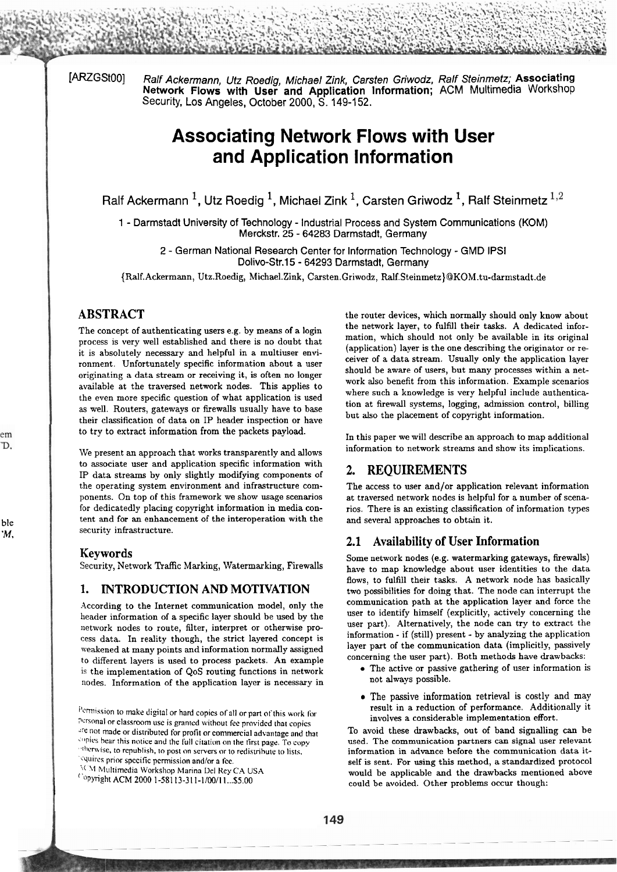[ARZGSt00] Ralf Ackermann, Utz Roedig, Michael Zink, Carsten Griwodz, Ralf Steinmetz; Associating **Network Flows with User and Application Information; ACM** Multimedia Workshop Security, Los Angeles, October 2000, S. 149-152.

## **Associating Network Flows with User and Application Information**

Ralf Ackermann<sup>1</sup>, Utz Roedig<sup>1</sup>, Michael Zink<sup>1</sup>, Carsten Griwodz<sup>1</sup>, Ralf Steinmetz<sup>1,2</sup>

1 - Darmstadt University of Technology - Industrial Process and System Communications (KOM) Merckstr. 25 - **64283** Darmstadt, Germany

**2** - German National Research Center for lnformation Technology - GMD lPSl Dolivo-Str.15 - **64293** Darmstadt, Germany

{Ralf.Ackermann, Utz.Roedig, Michael.Zink, Carsten.Griwodz, **Ralf.Steinmetz}@KOM.tu-darmstadt.de** 

The concept of authenticating users e.g. by means of a login process is very well established and there is no doubt that it is absolutely necessary and helpful in a multiuser environment. Unfortunately specific information about a user originating a data stream or receiving it, is often no longer available at the traversed network nodes. This applies to the even more specific question of what application is used **as** well. Routers, gateways or fiewalls usually have to base their classification of data on IP header inspection or have to try to extract information from the packets payload.

We present an approach that works transparently and allows to associate user and application specific information with IP data streams by only slightly modifying components of the operating System environment and infrastructure components. On top of this framework we show usage scenarios for dedicatedly placing copyright information in media content and for an enhancement of the interoperation with the security infrastructure.

### **Keywords**

Security, Network Traffic Marking, Watermarking, Firewalls

### **1. INTRODUCTION AND MOTIVATION**

According to the Internet communication model, only the lieader information of a specific layer should be used by the network nodes to route, filter, interpret or otherwise proccss data. In reality though, the strict layered concept is weakened at many points and information normally assigned to different layers is used to process packets. An example is the implementation of QoS routing functions in network nodes. Information of the application layer is necessary in

'squires prior specific permission and/or a fee.

"'11 hl~iltirnedia Worksliop Marina L)el Key CA **USA** 

<sup>Copyright ACM 2000 1-58113-311-1/00/11...\$5.00</sup>

ABSTRACT the router devices, which normally should only know about the network layer, to fulfill their tasks. A dedicated information, which should not only be available in its original (application) layer is the one describing the originator or receiver of a data stream. Usually only the application layer should be aware of users, but many processes within a network also benefit from this information. Example scenarios where such a knowledge is very helpful include authentication at firewall systems, logging, admission control, billing but also the placement of copyright information.

> In this paper we will describe an approach to map additional information to network streams and show its implications.

### **2. REQUIREMENTS**

The access to user and/or application relevant information at traversed network nodes is helpful for a number of scenarios. There is an existing classification of information types and several approaches to obtain it.

### **2.1 Availability of User Information**

Some network nodes (e.g. watermarking gateways, fiewalls) have to map knowledge about user identities to the data flows, to fulfill their tasks. A network node has basically two possibilities for doing that. The node can interrupt the communication path at the application layer and force the user to identify himself (explicitly, actively concerning the user part). Alternatively, the node can try to extract the information - if (still) present - by analyzing the application layer part of the communication data (implicitly, passively concerning the user part). Both methods have drawbacks:

- The active or passive gathering of user information is not aiways possible.
- The passive information retrieval is costly and may result in a reduction of performance. Additionally it involves a considerable implementation effort.

To avoid these drawbacks, out of band signalling can be used. The communication partners can signal user relevant information in advance before the communication data itself is sent. For using this method, a standardized protocol would be applicable and the drawbacks mentioned above could be avoided. Other problems occur though:

em D.

ble 'M.

 $P$ ermission to make digital or hard copies of all or part of this work for Personal or classroom use is granted without fee provided that copics are not made or distributed for profit or commercial advantage and that **;tb~ies hear** tliis iioticr aiid ihe 1u11 ciraticiii oii the tirst pag+. To **copy**  ~llicr\\ise, ~o repuhlish, to post **on** Servers or to redisirihuie to lists.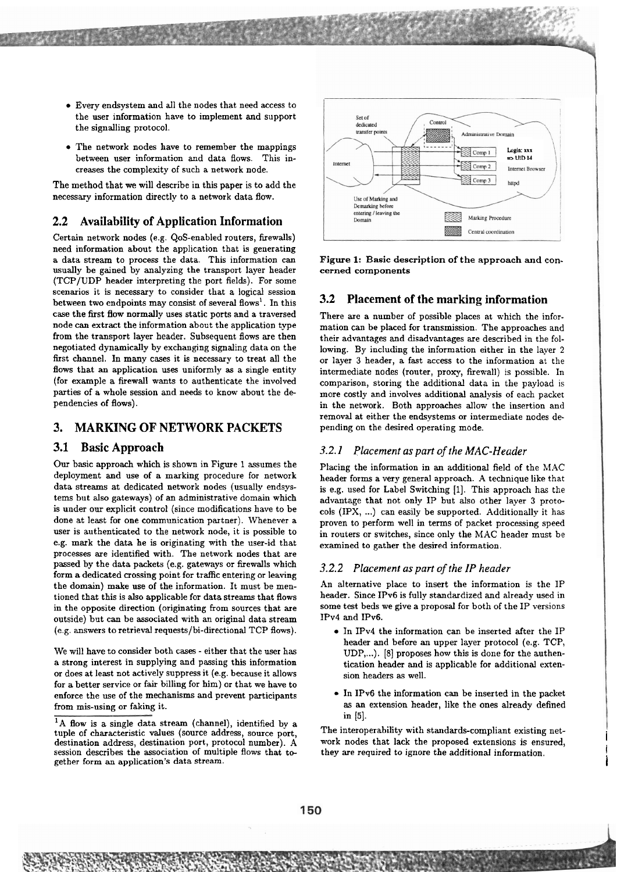- Every endsystem and all the nodes that need access to the user information have to implement and support the signalling protocol.
- The network nodes have to remember the mappings between user information and data flows. This increases the complexity of such a network node.

The method that **we** will describe in this paper is to add the necessary information directly to a network data flow.

### **2.2 Availability of Application Information**

Certain network nodes (e.g. QoS-enabled routers, firewalls) need information about the application that is generating a data stream to process the data. This information can usually be gained by analyzing the transport layer header (TCP/UDP header interpreting the Port fields). For some scenarios it is necessary to consider that a logical session between two endpoints may consist of several flows<sup>1</sup>. In this case the first flow normally uses static ports and a traversed node can extract the information about the application type from the transport layer header. Subsequent flows are then negotiated dynamically by exchanging signaling data on the first channel. In many cases it is necessary to treat all the flows that an application uses uniformly **as** a single entity (for example a firewall wants to authenticate the involved parties of a whole session and needs to know about the dependencies of flows).

## **3. MARKING OF NETWORK PACKETS**

### **3.1 Basic Approach**

Our basic approach which is shown in Figure 1 assumes the deployment and use of a marking procedure for network data streams at dedicated network nodes (usually endsystems but also gateways) of an administrative domain which is under our explicit control (since modifications have to be done at least for one communication partner). Whenever a User is authenticated to the network node, it is possible to e.g. mark the data he is originating with the user-id that procecses are identified with. The network nodes that are passed by the data packets (e.g. gateways or firewalls which form a dedicated crossing point for traffic entering or leaving the domain) make use of the information. It must be mentioned that this is also applicable for data streams that flows in the opposite direction (originating from sources that are outside) but can be associated with an original data stream (e.g. answers to retrieval requests/bi-directional TCP flows).

We will have to consider both cases - either that the user has a strong interest in supplying and passing this information or does at least not actively suppress it (e.g. because it allows for a better service or fair billing for him) or that we have to enforce the use of the mechanisms and prevent participants from mis-using or faking it.



**Figure** 1: Basic description of the approach **and** concerned components

### **3.2 Placement of the marking information**

There are a number of possible places at which the information can be placed for transmission. The approaches and their advantages and disadvantages are described in the following. By including the information either in the layer 2 or layer 3 header, a fast access to the information at the intermediate nodes (router, proxy, firewall) is possible. In comparison, storing the additional data in the payload is more costly and involves additional analysis of each packet in the network. Both approaches allow the insertion and removal at either the endsystems or intermediate nodes depending on the desired operating mode.

### 3.2.1 *Placement* **as** *part of the MAC-Header*

Placing the information in an additional field of the MAC header forms a very general approach. **A** technique like that is e.g. used for Label Switching [I]. This approach has the advantage that not only IP but also other layer 3 protocols (IPX, ...) can easily be supported. Additionally it has proven to perform well in terms of packet processing speed in routers or switches, since only the MAC header must be examined to gather the desired information.

### 3.2.2 *Placement as part of the IP header*

An alternative place to insert the information is the IP header. Since IPv6 is fully standardized and already used in some test beds we give a proposal for both of the IP versions IPv4 and IPv6.

- In IPv4 the information can be inserted after the IP header and before an upper layer protocol (e.g. TCP, UDP,...). [8] proposes how this is done for the authentication header and is applicable for additional extension headers as well.
- In IPv6 the information can be inserted in the packet **as** an extension header, like the ones already defined in [5].

The interoperability with standards-compliant existing network nodes that lack the proposed extensions is ensured, they are required to ignore the additional information.

I

<sup>&</sup>lt;sup>1</sup>A flow is a single data stream (channel), identified by a tuple of characteristic values (source address, source port, destination address, destination port, protocol number). A session describes the association of multiple flows that together form an application's data stream.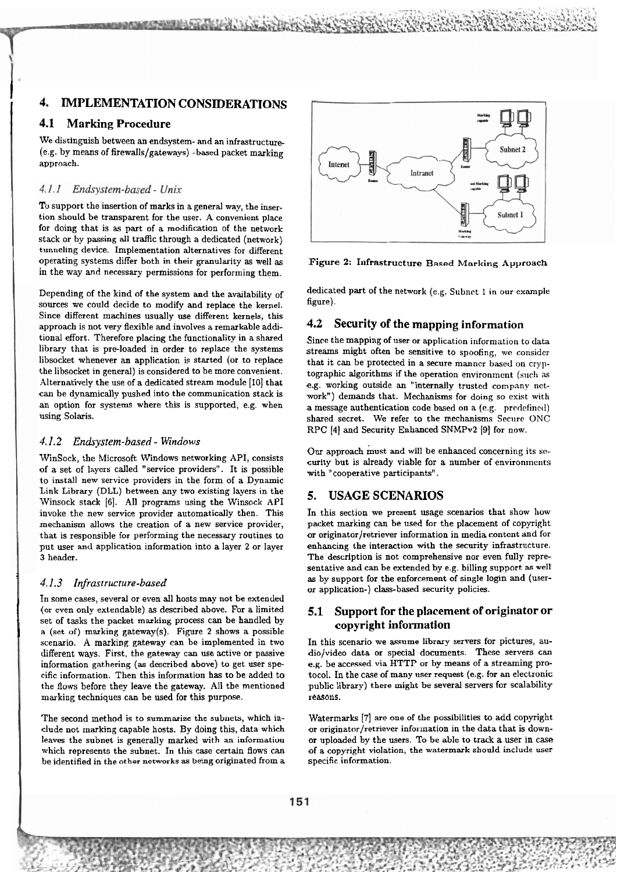# **4. IMPLEMENTATION CONSIDERATIONS**<br>**4.1** Marking Procedure

### **4.1 Marking Procedure**

 $\mathbf{I}$ 

We distinguish between an endsystem- and an infrastructure- (e.g. by means of firewalls/gateways) -based packet marking approach.

### $4.1.1$ Endsystem-based - Unix

To support the insertion of marks in a general way, the insertion should be transparent for the user. A convenient place for doing that is as part of a modification of the network stack or by passing all traffic through a dedicated (network) tunneling device. Implementation alternatives for different operating systems differ both in their granularity **as** well as **Figure** 2: Infrastructure Based Morking Approach in the way and necessary permissions for performing them.

Depending of the kind of the System and the avaiiability of sources we could decide to modify and replace the kerne]. Since different machines usually use different kernels, this approach is not very flexible and involves a remarkable additional effort. Therefore placing the functionality in a shared library that is pre-loaded in order to replace the systems libsocket whenever an application is started (or to replace the libsocket in general) is considered to be more convenient. Alternatively the use of a dedicated stream module **[10]** that can be dynamically pushed into the communication stack is an option for systems where this is supported, e.g. when using Solaris.

## **4.1.2 Endrystem-based** - **Windows**

WinSock, the Microsoft Windows networking API, consists of a set of layers called "service providers". It is possible to install new service providers in the form of a Dynamic Link Library (DLL) between any two existing layers in the Winsock stack **[6].** All programs using the Winsock API invoke the new service provider automatically then. This mechanism allows the creation of a new service provider, that is responsible for performing the necessary routines to put User and application information into a layer 2 or layer 3 header.

(or even only extendable) as described above. For a limited **5.1 Support for the placement of originator or**<br>
a (set of) marking gateway(s). Figure 2 shows a possible **copyright information copyright information contra** set of tasks the packet marking process can be handled by scenario. A marking gateway can be implemented in two In this scenario we assume library servers for pictures, au-<br>different ways. First, the gateway can use active or passive dio/video data or special documents. These ser different ways. First, the gateway can use active or passive dio/video data or special documents. These servers can<br>information gathering (as described above) to get user spe-eg. be accessed via HTTP or by means of a strea information gathering (as described above) to get user spe-<br>cific information. Then this information has to be added to the flows before they leave the gateway. All the mentioned marking techniques can be used for this purpose. reasons.

clude not marking capable hosts. By doing this, data which or originator/retriever information in the data that is downleaves the subnet is generally marked with an information or uploaded by the users. To be able to track a user in case<br>which represents the subnet. In this case certain flows can of a copyright violation, the watermark sho which represents the subnet. In this case certain flows can be identified in the other networks **as being** originated from a specific information.



dedicated part of the network (e.g. Subnet 1 in our example figure).

### **4.2 Security of the mapping information**

Since the mapping of user or application information to data streams might often be sensitive to spoofing, we consider that it can be protected in a secure manner based on cryptographic algorithms if the operation environment (such as e.g. working outside an "internally trusted company nctwork") demands that. Mechanisms for doing so exist with a message authentication code based on a **(e.g.** prcdcfinctl) shared secret. We refer to the mechanisms Secure ONC **RPC [4]** and Security Enhanced SNMPv2 **(91** for now.

Our approach must and will be enhanced concerning its security but is already viable for a number of environments with "cooperative participants".

## **5. USAGE SCENARIOS**

In this section we present usage Scenarios that show how packet marking can be used for the placement of copyright or originator/retriever information in media content and for enhancing the interaction with the security infrastructure. The description is not comprehensive nor even fully representative and can be extended by e.g. billing support as well 4.1.3 Infrastructure-based as by support for the enforcement of single login and (user-<br>In some cases, several or even all hosts may not be extended<br> $\frac{1}{2}$ or application-) class-based security policies.

tocol. In the case of many user request (e.g. for an electronic<br>public library) there might be several servers for scalability

The second method is to summarize the subnets, which in- Watermarks **[7]** are one of the possibilities to add copyright